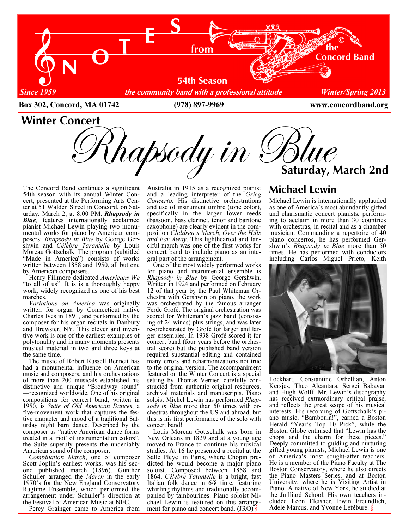

The Concord Band continues a significant 54th season with its annual Winter Concert, presented at the Performing Arts Center at 51 Walden Street in Concord, on Saturday, March 2, at 8:00 PM. Rhapsody in **Blue**, features internationally acclaimed pianist Michael Lewin playing two monumental works for piano by American composers: Rhapsody in Blue by George Gershwin and Célèbre Tarantelle by Louis Moreau Gottschalk. The program (subtitled "Made in America") consists of works written between 1858 and 1950, all but one by American composers.

 Henry Fillmore dedicated Americans We "to all of us". It is is a thoroughly happy work, widely recognized as one of his best marches.

 Variations on America was originally written for organ by Connecticut native Charles Ives in 1891, and performed by the composer for his organ recitals in Danbury and Brewster, NY. This clever and inventive work is one of the earliest examples of polytonality and in many moments presents musical material in two and three keys at the same time.

 The music of Robert Russell Bennett has had a monumental influence on American music and composers, and his orchestrations of more than 200 musicals established his distinctive and unique "Broadway sound" ―recognized worldwide. One of his original compositions for concert band, written in 1950, is Suite of Old American Dances, a five-movement work that captures the festive character and mood of a traditional Saturday night barn dance. Described by the composer as "native American dance forms treated in a 'riot' of instrumentation colors", the Suite superbly presents the undeniably American sound of the composer.

 Combination March, one of composer Scott Joplin's earliest works, was his second published march (1896). Gunther Schuller arranged the *March* in the early 1970's for the New England Conservatory Ragtime Ensemble, which performed the arrangement under Schuller's direction at the Festival of American Music at NEC.

Percy Grainger came to America from

Australia in 1915 as a recognized pianist and a leading interpreter of the Grieg Concerto. His distinctive orchestrations and use of instrument timbre (tone color), specifically in the larger lower reeds (bassoon, bass clarinet, tenor and baritone saxophone) are clearly evident in the composition Children's March, Over the Hills and Far Away. This lighthearted and fanciful march was one of the first works for concert band to include piano as an integral part of the arrangement.

 One of the most widely performed works for piano and instrumental ensemble is Rhapsody in Blue by George Gershwin. Written in 1924 and performed on February 12 of that year by the Paul Whiteman Orchestra with Gershwin on piano, the work was orchestrated by the famous arranger Ferde Grofé. The original orchestration was scored for Whiteman's jazz band (consisting of 24 winds) plus strings, and was later re-orchestrated by Grofé for larger and larger ensembles. In 1938 Grofé scored it for concert band (four years before the orchestral score) but the published band version required substantial editing and contained many errors and reharmonizations not true to the original version. The accompaniment featured on the Winter Concert is a special setting by Thomas Verrier, carefully constructed from authentic original resources, archival materials and manuscripts. Piano soloist Michel Lewin has performed Rhapsody in Blue more than 50 times with orchestras throughout the US and abroad, but this is his first performance of the solo with concert band!

 Louis Moreau Gottschalk was born in New Orleans in 1829 and at a young age moved to France to continue his musical studies. At 16 he presented a recital at the Salle Pleyel in Paris, where Chopin predicted he would become a major piano soloist. Composed between 1858 and 1864, Célèbre Tatantelle is a bright, fast Italian folk dance in 6/8 time, featuring whirling rhythms and traditionally accompanied by tambourines. Piano soloist Michael Lewin is featured on this arrangement for piano and concert band. (JRO)

## Michael Lewin

Michael Lewin is internationally applauded as one of America's most abundantly gifted and charismatic concert pianists, performing to acclaim in more than 30 countries with orchestras, in recital and as a chamber musician. Commanding a repertoire of 40 piano concertos, he has performed Gershwin's Rhapsody in Blue more than 50 times. He has performed with conductors including Carlos Miguel Prieto, Keith



Lockhart, Constantine Orbellian, Anton Kersjes, Theo Alcantara, Sergei Babayan and Hugh Wolff. Mr. Lewin's discography has received extraordinary critical praise, and reflects the great scope of his musical interests. His recording of Gottschalk's piano music, "Bamboula!", earned a Boston Herald "Year's Top 10 Pick", while the Boston Globe enthused that "Lewin has the chops and the charm for these pieces." Deeply committed to guiding and nurturing gifted young pianists, Michael Lewin is one of America's most sought-after teachers. He is a member of the Piano Faculty at The Boston Conservatory, where he also directs the Piano Masters Series, and at Boston University, where he is Visiting Artist in Piano. A native of New York, he studied at the Juilliard School. His own teachers included Leon Fleisher, Irwin Freundlich, Adele Marcus, and Yvonne Lefébure.